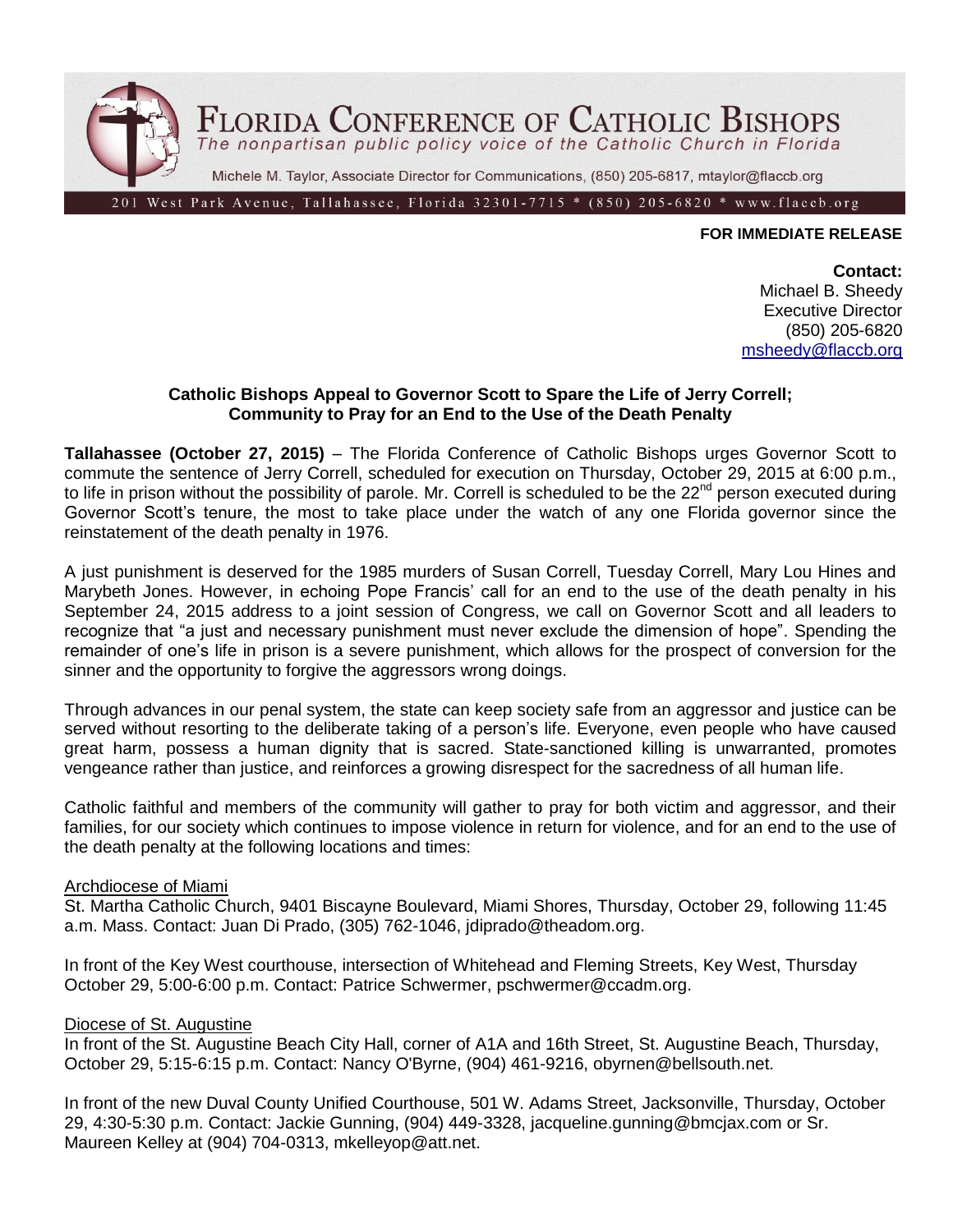

### **FOR IMMEDIATE RELEASE**

#### **Contact:**

Michael B. Sheedy Executive Director (850) 205-6820 [msheedy@flaccb.org](mailto:msheedy@flaccb.org)

# **Catholic Bishops Appeal to Governor Scott to Spare the Life of Jerry Correll; Community to Pray for an End to the Use of the Death Penalty**

**Tallahassee (October 27, 2015)** – The Florida Conference of Catholic Bishops urges Governor Scott to commute the sentence of Jerry Correll, scheduled for execution on Thursday, October 29, 2015 at 6:00 p.m., to life in prison without the possibility of parole. Mr. Correll is scheduled to be the 22<sup>nd</sup> person executed during Governor Scott's tenure, the most to take place under the watch of any one Florida governor since the reinstatement of the death penalty in 1976.

A just punishment is deserved for the 1985 murders of Susan Correll, Tuesday Correll, Mary Lou Hines and Marybeth Jones. However, in echoing Pope Francis' call for an end to the use of the death penalty in his September 24, 2015 address to a joint session of Congress, we call on Governor Scott and all leaders to recognize that "a just and necessary punishment must never exclude the dimension of hope". Spending the remainder of one's life in prison is a severe punishment, which allows for the prospect of conversion for the sinner and the opportunity to forgive the aggressors wrong doings.

Through advances in our penal system, the state can keep society safe from an aggressor and justice can be served without resorting to the deliberate taking of a person's life. Everyone, even people who have caused great harm, possess a human dignity that is sacred. State-sanctioned killing is unwarranted, promotes vengeance rather than justice, and reinforces a growing disrespect for the sacredness of all human life.

Catholic faithful and members of the community will gather to pray for both victim and aggressor, and their families, for our society which continues to impose violence in return for violence, and for an end to the use of the death penalty at the following locations and times:

### Archdiocese of Miami

St. Martha Catholic Church, 9401 Biscayne Boulevard, Miami Shores, Thursday, October 29, following 11:45 a.m. Mass. Contact: Juan Di Prado, (305) 762-1046, jdiprado@theadom.org.

In front of the Key West courthouse, intersection of Whitehead and Fleming Streets, Key West, Thursday October 29, 5:00-6:00 p.m. Contact: Patrice Schwermer, pschwermer@ccadm.org.

#### Diocese of St. Augustine

In front of the St. Augustine Beach City Hall, corner of A1A and 16th Street, St. Augustine Beach, Thursday, October 29, 5:15-6:15 p.m. Contact: Nancy O'Byrne, (904) 461-9216, obyrnen@bellsouth.net.

In front of the new Duval County Unified Courthouse, 501 W. Adams Street, Jacksonville, Thursday, October 29, 4:30-5:30 p.m. Contact: Jackie Gunning, (904) 449-3328, jacqueline.gunning@bmcjax.com or Sr. Maureen Kelley at (904) 704-0313, mkelleyop@att.net.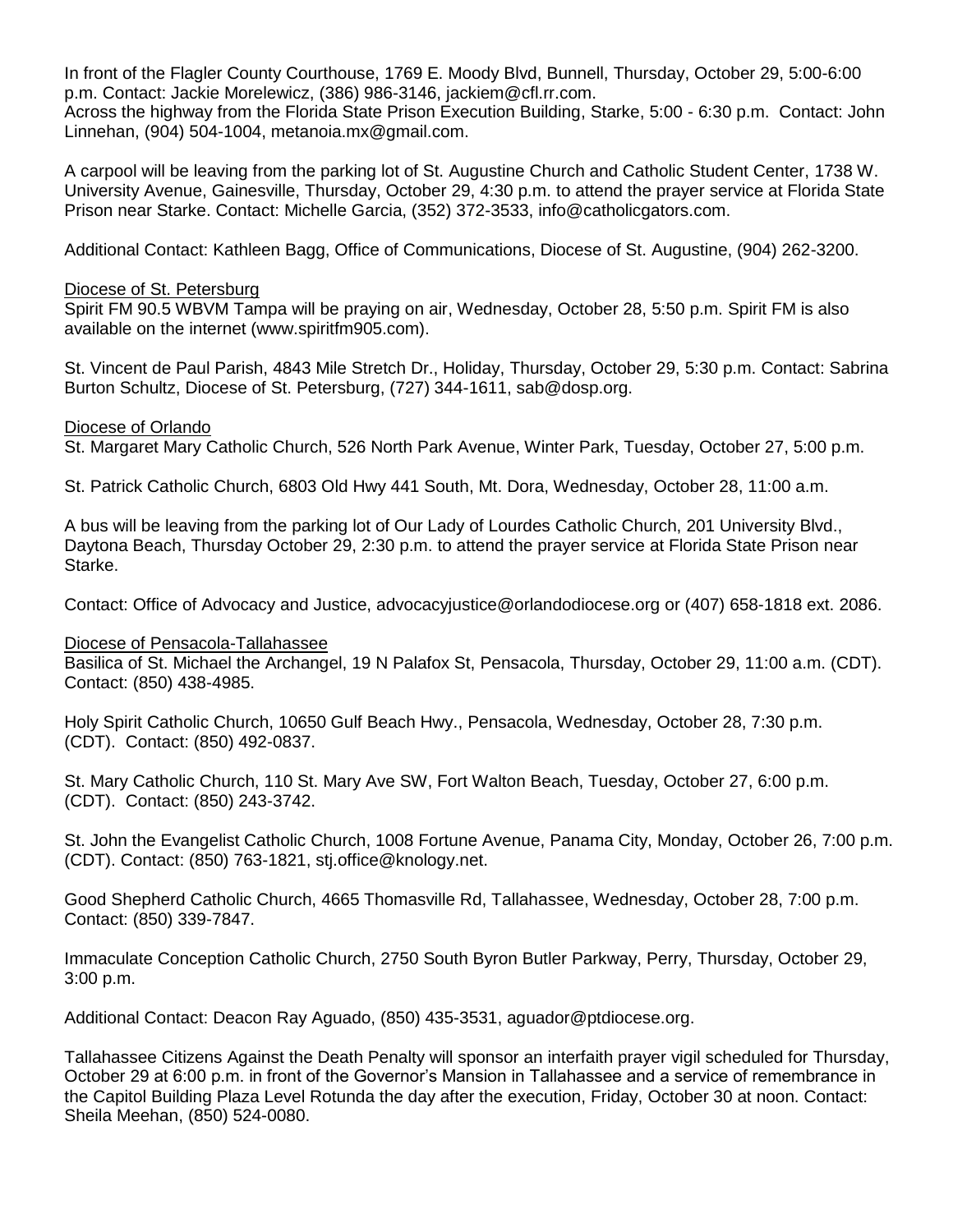In front of the Flagler County Courthouse, 1769 E. Moody Blvd, Bunnell, Thursday, October 29, 5:00-6:00 p.m. Contact: Jackie Morelewicz, (386) 986-3146, jackiem@cfl.rr.com.

Across the highway from the Florida State Prison Execution Building, Starke, 5:00 - 6:30 p.m. Contact: John Linnehan, (904) 504-1004, metanoia.mx@gmail.com.

A carpool will be leaving from the parking lot of St. Augustine Church and Catholic Student Center, 1738 W. University Avenue, Gainesville, Thursday, October 29, 4:30 p.m. to attend the prayer service at Florida State Prison near Starke. Contact: Michelle Garcia, (352) 372-3533, info@catholicgators.com.

Additional Contact: Kathleen Bagg, Office of Communications, Diocese of St. Augustine, (904) 262-3200.

# Diocese of St. Petersburg

Spirit FM 90.5 WBVM Tampa will be praying on air, Wednesday, October 28, 5:50 p.m. Spirit FM is also available on the internet (www.spiritfm905.com).

St. Vincent de Paul Parish, 4843 Mile Stretch Dr., Holiday, Thursday, October 29, 5:30 p.m. Contact: Sabrina Burton Schultz, Diocese of St. Petersburg, (727) 344-1611, sab@dosp.org.

# Diocese of Orlando

St. Margaret Mary Catholic Church, 526 North Park Avenue, Winter Park, Tuesday, October 27, 5:00 p.m.

St. Patrick Catholic Church, 6803 Old Hwy 441 South, Mt. Dora, Wednesday, October 28, 11:00 a.m.

A bus will be leaving from the parking lot of Our Lady of Lourdes Catholic Church, 201 University Blvd., Daytona Beach, Thursday October 29, 2:30 p.m. to attend the prayer service at Florida State Prison near Starke.

Contact: Office of Advocacy and Justice, advocacyjustice@orlandodiocese.org or (407) 658-1818 ext. 2086.

### Diocese of Pensacola-Tallahassee

Basilica of St. Michael the Archangel, 19 N Palafox St, Pensacola, Thursday, October 29, 11:00 a.m. (CDT). Contact: (850) 438-4985.

Holy Spirit Catholic Church, 10650 Gulf Beach Hwy., Pensacola, Wednesday, October 28, 7:30 p.m. (CDT). Contact: (850) 492-0837.

St. Mary Catholic Church, 110 St. Mary Ave SW, Fort Walton Beach, Tuesday, October 27, 6:00 p.m. (CDT). Contact: (850) 243-3742.

St. John the Evangelist Catholic Church, 1008 Fortune Avenue, Panama City, Monday, October 26, 7:00 p.m. (CDT). Contact: (850) 763-1821, stj.office@knology.net.

Good Shepherd Catholic Church, 4665 Thomasville Rd, Tallahassee, Wednesday, October 28, 7:00 p.m. Contact: (850) 339-7847.

Immaculate Conception Catholic Church, 2750 South Byron Butler Parkway, Perry, Thursday, October 29, 3:00 p.m.

Additional Contact: Deacon Ray Aguado, (850) 435-3531, aguador@ptdiocese.org.

Tallahassee Citizens Against the Death Penalty will sponsor an interfaith prayer vigil scheduled for Thursday, October 29 at 6:00 p.m. in front of the Governor's Mansion in Tallahassee and a service of remembrance in the Capitol Building Plaza Level Rotunda the day after the execution, Friday, October 30 at noon. Contact: Sheila Meehan, (850) 524-0080.